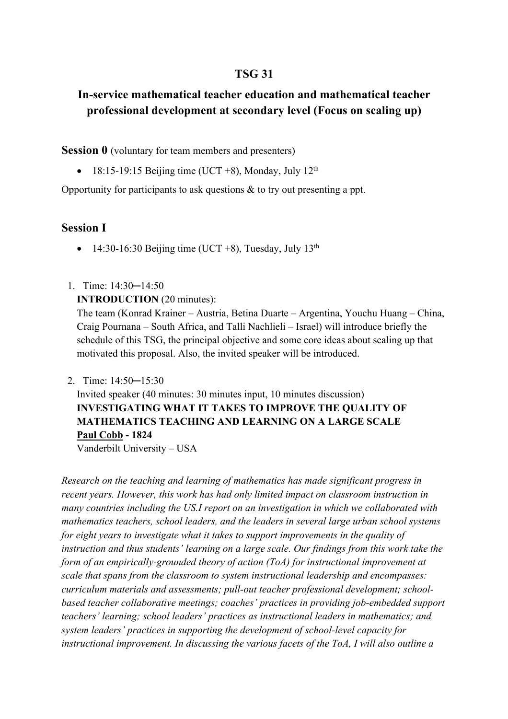# **TSG 31**

# **In-service mathematical teacher education and mathematical teacher professional development at secondary level (Focus on scaling up)**

### **Session 0** (voluntary for team members and presenters)

18:15-19:15 Beijing time (UCT +8), Monday, July  $12<sup>th</sup>$ 

Opportunity for participants to ask questions & to try out presenting a ppt.

### **Session I**

- 14:30-16:30 Beijing time (UCT +8), Tuesday, July  $13<sup>th</sup>$
- 1. Time: 14:30─14:50

#### **INTRODUCTION** (20 minutes):

The team (Konrad Krainer – Austria, Betina Duarte – Argentina, Youchu Huang – China, Craig Pournana – South Africa, and Talli Nachlieli – Israel) will introduce briefly the schedule of this TSG, the principal objective and some core ideas about scaling up that motivated this proposal. Also, the invited speaker will be introduced.

2. Time: 14:50─15:30

Invited speaker (40 minutes: 30 minutes input, 10 minutes discussion) **INVESTIGATING WHAT IT TAKES TO IMPROVE THE QUALITY OF MATHEMATICS TEACHING AND LEARNING ON A LARGE SCALE Paul Cobb - 1824**

Vanderbilt University – USA

*Research on the teaching and learning of mathematics has made significant progress in recent years. However, this work has had only limited impact on classroom instruction in many countries including the US.I report on an investigation in which we collaborated with mathematics teachers, school leaders, and the leaders in several large urban school systems for eight years to investigate what it takes to support improvements in the quality of instruction and thus students' learning on a large scale. Our findings from this work take the form of an empirically-grounded theory of action (ToA) for instructional improvement at scale that spans from the classroom to system instructional leadership and encompasses: curriculum materials and assessments; pull-out teacher professional development; schoolbased teacher collaborative meetings; coaches' practices in providing job-embedded support teachers' learning; school leaders' practices as instructional leaders in mathematics; and system leaders' practices in supporting the development of school-level capacity for instructional improvement. In discussing the various facets of the ToA, I will also outline a*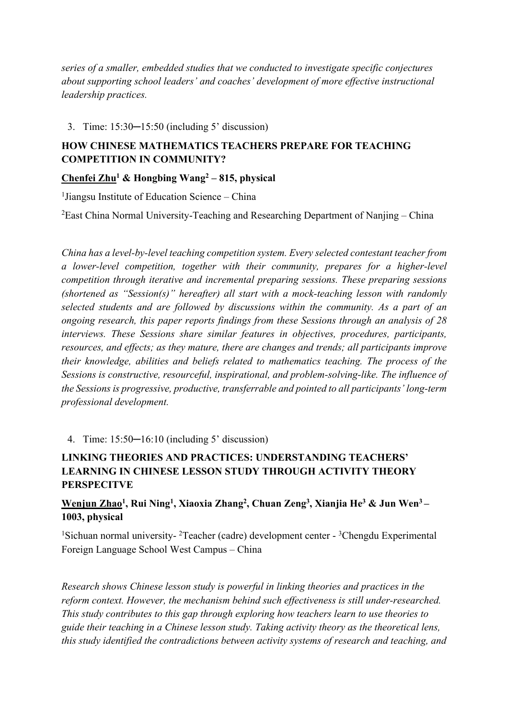*series of a smaller, embedded studies that we conducted to investigate specific conjectures about supporting school leaders' and coaches' development of more effective instructional leadership practices.*

### 3. Time: 15:30─15:50 (including 5' discussion)

# **HOW CHINESE MATHEMATICS TEACHERS PREPARE FOR TEACHING COMPETITION IN COMMUNITY?**

## **Chenfei Zhu1 & Hongbing Wang2 – 815, physical**

<sup>1</sup>Jiangsu Institute of Education Science - China

 ${}^{2}$ East China Normal University-Teaching and Researching Department of Nanjing – China

*China has a level-by-level teaching competition system. Every selected contestant teacher from a lower-level competition, together with their community, prepares for a higher-level competition through iterative and incremental preparing sessions. These preparing sessions (shortened as "Session(s)" hereafter) all start with a mock-teaching lesson with randomly selected students and are followed by discussions within the community. As a part of an ongoing research, this paper reports findings from these Sessions through an analysis of 28 interviews. These Sessions share similar features in objectives, procedures, participants, resources, and effects; as they mature, there are changes and trends; all participants improve their knowledge, abilities and beliefs related to mathematics teaching. The process of the Sessions is constructive, resourceful, inspirational, and problem-solving-like. The influence of the Sessions is progressive, productive, transferrable and pointed to all participants' long-term professional development.*

4. Time: 15:50─16:10 (including 5' discussion)

## **LINKING THEORIES AND PRACTICES: UNDERSTANDING TEACHERS' LEARNING IN CHINESE LESSON STUDY THROUGH ACTIVITY THEORY PERSPECITVE**

## **Wenjun Zhao1 , Rui Ning1 , Xiaoxia Zhang2 , Chuan Zeng3 , Xianjia He3 & Jun Wen3 – 1003, physical**

<sup>1</sup>Sichuan normal university-<sup>2</sup>Teacher (cadre) development center - <sup>3</sup>Chengdu Experimental Foreign Language School West Campus – China

*Research shows Chinese lesson study is powerful in linking theories and practices in the reform context. However, the mechanism behind such effectiveness is still under-researched. This study contributes to this gap through exploring how teachers learn to use theories to guide their teaching in a Chinese lesson study. Taking activity theory as the theoretical lens, this study identified the contradictions between activity systems of research and teaching, and*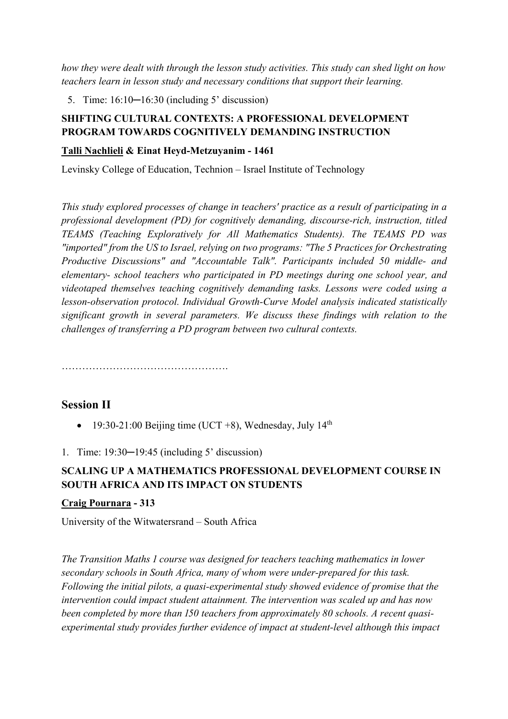*how they were dealt with through the lesson study activities. This study can shed light on how teachers learn in lesson study and necessary conditions that support their learning.*

5. Time: 16:10─16:30 (including 5' discussion)

## **SHIFTING CULTURAL CONTEXTS: A PROFESSIONAL DEVELOPMENT PROGRAM TOWARDS COGNITIVELY DEMANDING INSTRUCTION**

### **Talli Nachlieli & Einat Heyd-Metzuyanim - 1461**

Levinsky College of Education, Technion – Israel Institute of Technology

*This study explored processes of change in teachers' practice as a result of participating in a professional development (PD) for cognitively demanding, discourse-rich, instruction, titled TEAMS (Teaching Exploratively for All Mathematics Students). The TEAMS PD was "imported" from the US to Israel, relying on two programs: "The 5 Practices for Orchestrating Productive Discussions" and "Accountable Talk". Participants included 50 middle- and elementary- school teachers who participated in PD meetings during one school year, and videotaped themselves teaching cognitively demanding tasks. Lessons were coded using a lesson-observation protocol. Individual Growth-Curve Model analysis indicated statistically significant growth in several parameters. We discuss these findings with relation to the challenges of transferring a PD program between two cultural contexts.*

………………………………………….

## **Session II**

19:30-21:00 Beijing time (UCT +8), Wednesday, July  $14<sup>th</sup>$ 

1. Time: 19:30–19:45 (including 5' discussion)

## **SCALING UP A MATHEMATICS PROFESSIONAL DEVELOPMENT COURSE IN SOUTH AFRICA AND ITS IMPACT ON STUDENTS**

### **Craig Pournara - 313**

University of the Witwatersrand – South Africa

*The Transition Maths I course was designed for teachers teaching mathematics in lower secondary schools in South Africa, many of whom were under-prepared for this task. Following the initial pilots, a quasi-experimental study showed evidence of promise that the intervention could impact student attainment. The intervention was scaled up and has now*  been completed by more than 150 teachers from approximately 80 schools. A recent quasi*experimental study provides further evidence of impact at student-level although this impact*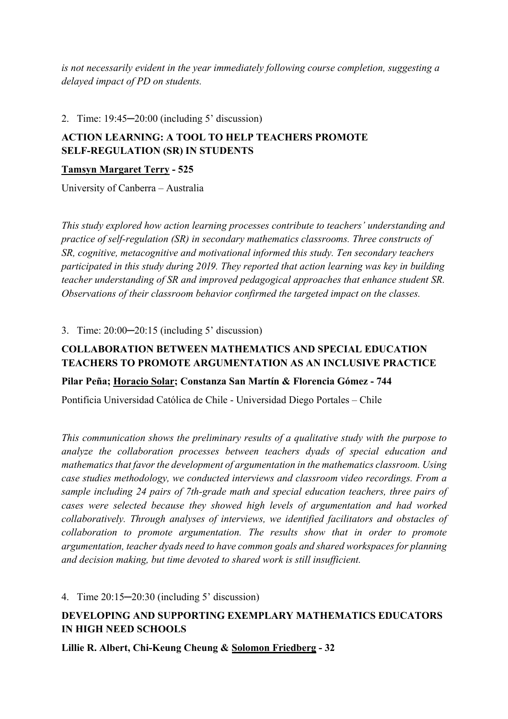*is not necessarily evident in the year immediately following course completion, suggesting a delayed impact of PD on students.*

### 2. Time: 19:45─20:00 (including 5' discussion)

# **ACTION LEARNING: A TOOL TO HELP TEACHERS PROMOTE SELF-REGULATION (SR) IN STUDENTS**

## **Tamsyn Margaret Terry - 525**

University of Canberra – Australia

*This study explored how action learning processes contribute to teachers' understanding and practice of self-regulation (SR) in secondary mathematics classrooms. Three constructs of SR, cognitive, metacognitive and motivational informed this study. Ten secondary teachers participated in this study during 2019. They reported that action learning was key in building teacher understanding of SR and improved pedagogical approaches that enhance student SR. Observations of their classroom behavior confirmed the targeted impact on the classes.* 

3. Time: 20:00─20:15 (including 5' discussion)

# **COLLABORATION BETWEEN MATHEMATICS AND SPECIAL EDUCATION TEACHERS TO PROMOTE ARGUMENTATION AS AN INCLUSIVE PRACTICE**

## **Pilar Peña; Horacio Solar; Constanza San Martín & Florencia Gómez - 744**

Pontificia Universidad Católica de Chile - Universidad Diego Portales – Chile

*This communication shows the preliminary results of a qualitative study with the purpose to analyze the collaboration processes between teachers dyads of special education and mathematics that favor the development of argumentation in the mathematics classroom. Using case studies methodology, we conducted interviews and classroom video recordings. From a sample including 24 pairs of 7th-grade math and special education teachers, three pairs of cases were selected because they showed high levels of argumentation and had worked collaboratively. Through analyses of interviews, we identified facilitators and obstacles of collaboration to promote argumentation. The results show that in order to promote argumentation, teacher dyads need to have common goals and shared workspaces for planning and decision making, but time devoted to shared work is still insufficient.*

4. Time 20:15─20:30 (including 5' discussion)

# **DEVELOPING AND SUPPORTING EXEMPLARY MATHEMATICS EDUCATORS IN HIGH NEED SCHOOLS**

**Lillie R. Albert, Chi-Keung Cheung & Solomon Friedberg - 32**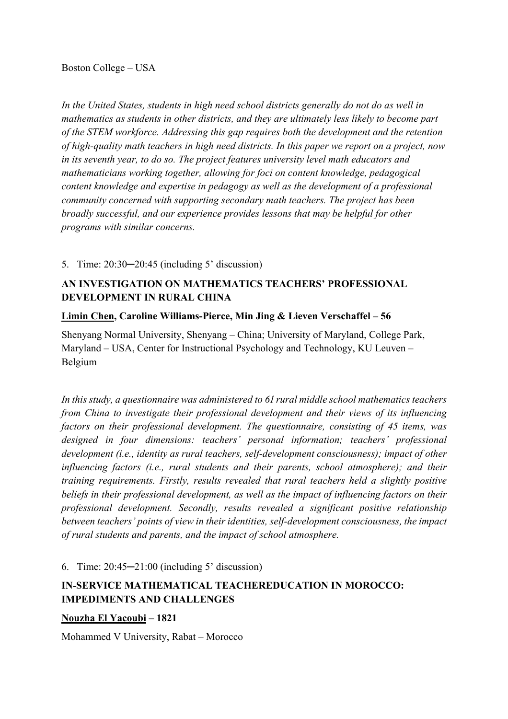*In the United States, students in high need school districts generally do not do as well in mathematics as students in other districts, and they are ultimately less likely to become part of the STEM workforce. Addressing this gap requires both the development and the retention of high-quality math teachers in high need districts. In this paper we report on a project, now in its seventh year, to do so. The project features university level math educators and mathematicians working together, allowing for foci on content knowledge, pedagogical content knowledge and expertise in pedagogy as well as the development of a professional community concerned with supporting secondary math teachers. The project has been broadly successful, and our experience provides lessons that may be helpful for other programs with similar concerns.*

### 5. Time: 20:30—20:45 (including 5' discussion)

## **AN INVESTIGATION ON MATHEMATICS TEACHERS' PROFESSIONAL DEVELOPMENT IN RURAL CHINA**

### **Limin Chen, Caroline Williams-Pierce, Min Jing & Lieven Verschaffel – 56**

Shenyang Normal University, Shenyang – China; University of Maryland, College Park, Maryland – USA, Center for Instructional Psychology and Technology, KU Leuven – Belgium

In this study, a questionnaire was administered to 61 rural middle school mathematics teachers *from China to investigate their professional development and their views of its influencing factors on their professional development. The questionnaire, consisting of 45 items, was designed in four dimensions: teachers' personal information; teachers' professional development (i.e., identity as rural teachers, self-development consciousness); impact of other influencing factors (i.e., rural students and their parents, school atmosphere); and their training requirements. Firstly, results revealed that rural teachers held a slightly positive beliefs in their professional development, as well as the impact of influencing factors on their professional development. Secondly, results revealed a significant positive relationship between teachers' points of view in their identities, self-development consciousness, the impact of rural students and parents, and the impact of school atmosphere.*

6. Time: 20:45─21:00 (including 5' discussion)

## **IN-SERVICE MATHEMATICAL TEACHEREDUCATION IN MOROCCO: IMPEDIMENTS AND CHALLENGES**

### **Nouzha El Yacoubi – 1821**

Mohammed V University, Rabat – Morocco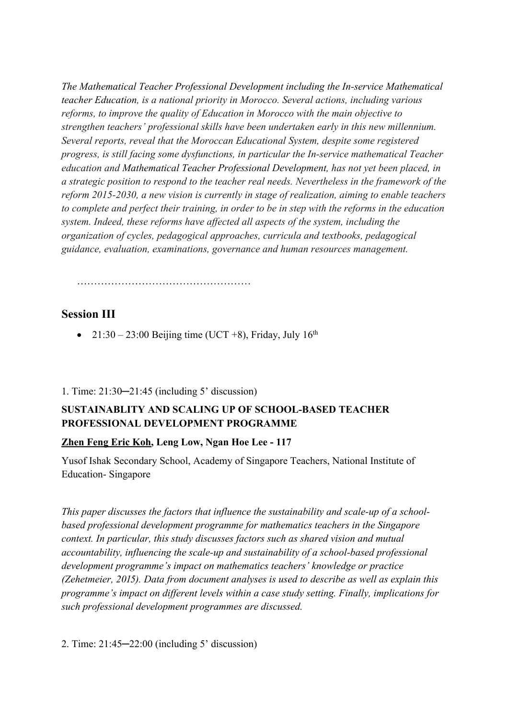*The Mathematical Teacher Professional Development including the In-service Mathematical teacher Education, is a national priority in Morocco. Several actions, including various reforms, to improve the quality of Education in Morocco with the main objective to strengthen teachers' professional skills have been undertaken early in this new millennium. Several reports, reveal that the Moroccan Educational System, despite some registered progress, is still facing some dysfunctions, in particular the In-service mathematical Teacher education and Mathematical Teacher Professional Development, has not yet been placed, in a strategic position to respond to the teacher real needs. Nevertheless in the framework of the reform 2015-2030, a new vision is currently in stage of realization, aiming to enable teachers to complete and perfect their training, in order to be in step with the reforms in the education system. Indeed, these reforms have affected all aspects of the system, including the organization of cycles, pedagogical approaches, curricula and textbooks, pedagogical guidance, evaluation, examinations, governance and human resources management.*

……………………………………………

### **Session III**

• 21:30 – 23:00 Beijing time (UCT +8), Friday, July  $16<sup>th</sup>$ 

#### 1. Time: 21:30─21:45 (including 5' discussion)

## **SUSTAINABLITY AND SCALING UP OF SCHOOL-BASED TEACHER PROFESSIONAL DEVELOPMENT PROGRAMME**

#### **Zhen Feng Eric Koh, Leng Low, Ngan Hoe Lee - 117**

Yusof Ishak Secondary School, Academy of Singapore Teachers, National Institute of Education- Singapore

*This paper discusses the factors that influence the sustainability and scale-up of a schoolbased professional development programme for mathematics teachers in the Singapore context. In particular, this study discusses factors such as shared vision and mutual accountability, influencing the scale-up and sustainability of a school-based professional development programme's impact on mathematics teachers' knowledge or practice (Zehetmeier, 2015). Data from document analyses is used to describe as well as explain this programme's impact on different levels within a case study setting. Finally, implications for such professional development programmes are discussed.*

2. Time: 21:45─22:00 (including 5' discussion)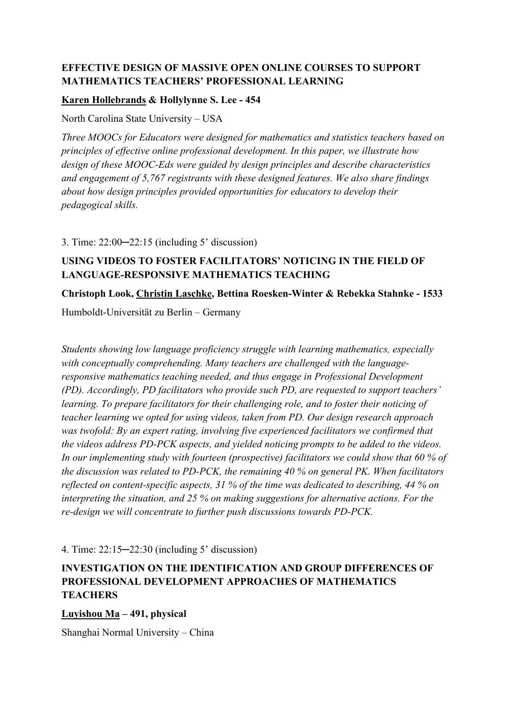## **EFFECTIVE DESIGN OF MASSIVE OPEN ONLINE COURSES TO SUPPORT MATHEMATICS TEACHERS' PROFESSIONAL LEARNING**

### **Karen Hollebrands & Hollylynne S. Lee - 454**

North Carolina State University – USA

*Three MOOCs for Educators were designed for mathematics and statistics teachers based on principles of effective online professional development. In this paper, we illustrate how design of these MOOC-Eds were guided by design principles and describe characteristics and engagement of 5,767 registrants with these designed features. We also share findings about how design principles provided opportunities for educators to develop their pedagogical skills.*

3. Time: 22:00─22:15 (including 5' discussion)

# **USING VIDEOS TO FOSTER FACILITATORS' NOTICING IN THE FIELD OF LANGUAGE-RESPONSIVE MATHEMATICS TEACHING**

### **Christoph Look, Christin Laschke, Bettina Roesken-Winter & Rebekka Stahnke - 1533**

Humboldt-Universität zu Berlin – Germany

*Students showing low language proficiency struggle with learning mathematics, especially with conceptually comprehending. Many teachers are challenged with the languageresponsive mathematics teaching needed, and thus engage in Professional Development (PD). Accordingly, PD facilitators who provide such PD, are requested to support teachers' learning. To prepare facilitators for their challenging role, and to foster their noticing of teacher learning we opted for using videos, taken from PD. Our design research approach was twofold: By an expert rating, involving five experienced facilitators we confirmed that the videos address PD-PCK aspects, and yielded noticing prompts to be added to the videos. In our implementing study with fourteen (prospective) facilitators we could show that 60 % of the discussion was related to PD-PCK, the remaining 40 % on general PK. When facilitators reflected on content-specific aspects, 31 % of the time was dedicated to describing, 44 % on interpreting the situation, and 25 % on making suggestions for alternative actions. For the re-design we will concentrate to further push discussions towards PD-PCK.*

4. Time: 22:15─22:30 (including 5' discussion)

# **INVESTIGATION ON THE IDENTIFICATION AND GROUP DIFFERENCES OF PROFESSIONAL DEVELOPMENT APPROACHES OF MATHEMATICS TEACHERS**

**Luyishou Ma – 491, physical**

Shanghai Normal University – China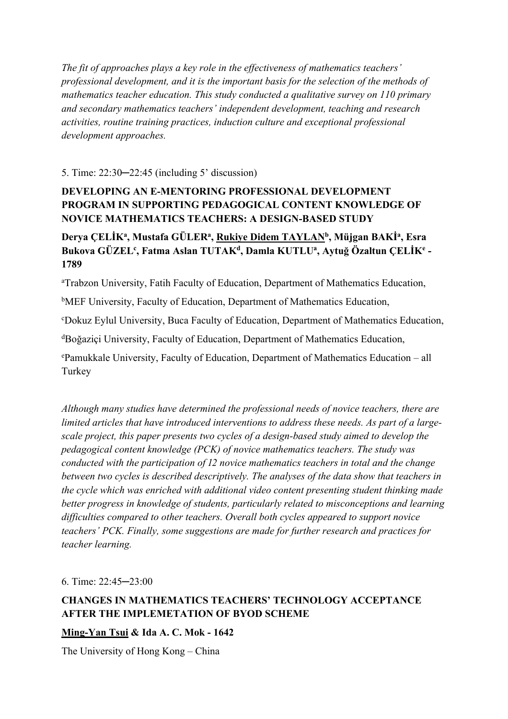*The fit of approaches plays a key role in the effectiveness of mathematics teachers' professional development, and it is the important basis for the selection of the methods of mathematics teacher education. This study conducted a qualitative survey on 110 primary and secondary mathematics teachers' independent development, teaching and research activities, routine training practices, induction culture and exceptional professional development approaches.*

### 5. Time: 22:30─22:45 (including 5' discussion)

# **DEVELOPING AN E-MENTORING PROFESSIONAL DEVELOPMENT PROGRAM IN SUPPORTING PEDAGOGICAL CONTENT KNOWLEDGE OF NOVICE MATHEMATICS TEACHERS: A DESIGN-BASED STUDY**

# Derya ÇELİKª, Mustafa GÜLERª, <u>Rukiye Didem TAYLAN</u>b, Müjgan BAKݪ, Esra **Bukova GÜZELc , Fatma Aslan TUTAKd, Damla KUTLUa , Aytuğ Özaltun ÇELİKe - 1789**

<sup>a</sup>Trabzon University, Fatih Faculty of Education, Department of Mathematics Education,

<sup>b</sup>MEF University, Faculty of Education, Department of Mathematics Education,

c Dokuz Eylul University, Buca Faculty of Education, Department of Mathematics Education,

<sup>d</sup>Boğaziçi University, Faculty of Education, Department of Mathematics Education,

e Pamukkale University, Faculty of Education, Department of Mathematics Education – all Turkey

*Although many studies have determined the professional needs of novice teachers, there are limited articles that have introduced interventions to address these needs. As part of a largescale project, this paper presents two cycles of a design-based study aimed to develop the pedagogical content knowledge (PCK) of novice mathematics teachers. The study was conducted with the participation of 12 novice mathematics teachers in total and the change between two cycles is described descriptively. The analyses of the data show that teachers in the cycle which was enriched with additional video content presenting student thinking made better progress in knowledge of students, particularly related to misconceptions and learning difficulties compared to other teachers. Overall both cycles appeared to support novice teachers' PCK. Finally, some suggestions are made for further research and practices for teacher learning.*

6. Time: 22:45─23:00

## **CHANGES IN MATHEMATICS TEACHERS' TECHNOLOGY ACCEPTANCE AFTER THE IMPLEMETATION OF BYOD SCHEME**

### **Ming-Yan Tsui & Ida A. C. Mok - 1642**

The University of Hong Kong – China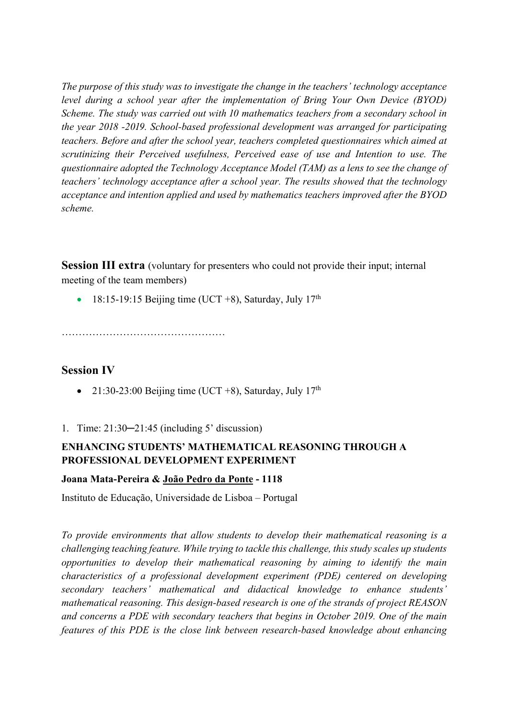*The purpose of this study was to investigate the change in the teachers' technology acceptance level during a school year after the implementation of Bring Your Own Device (BYOD) Scheme. The study was carried out with 10 mathematics teachers from a secondary school in the year 2018 -2019. School-based professional development was arranged for participating teachers. Before and after the school year, teachers completed questionnaires which aimed at scrutinizing their Perceived usefulness, Perceived ease of use and Intention to use. The questionnaire adopted the Technology Acceptance Model (TAM) as a lens to see the change of teachers' technology acceptance after a school year. The results showed that the technology acceptance and intention applied and used by mathematics teachers improved after the BYOD scheme.* 

**Session III extra** (voluntary for presenters who could not provide their input; internal meeting of the team members)

• 18:15-19:15 Beijing time (UCT +8), Saturday, July  $17<sup>th</sup>$ 

…………………………………………

## **Session IV**

- 21:30-23:00 Beijing time (UCT +8), Saturday, July  $17<sup>th</sup>$
- 1. Time: 21:30─21:45 (including 5' discussion)

# **ENHANCING STUDENTS' MATHEMATICAL REASONING THROUGH A PROFESSIONAL DEVELOPMENT EXPERIMENT**

### **Joana Mata-Pereira & João Pedro da Ponte - 1118**

Instituto de Educação, Universidade de Lisboa – Portugal

*To provide environments that allow students to develop their mathematical reasoning is a challenging teaching feature. While trying to tackle this challenge, this study scales up students opportunities to develop their mathematical reasoning by aiming to identify the main characteristics of a professional development experiment (PDE) centered on developing secondary teachers' mathematical and didactical knowledge to enhance students' mathematical reasoning. This design-based research is one of the strands of project REASON and concerns a PDE with secondary teachers that begins in October 2019. One of the main features of this PDE is the close link between research-based knowledge about enhancing*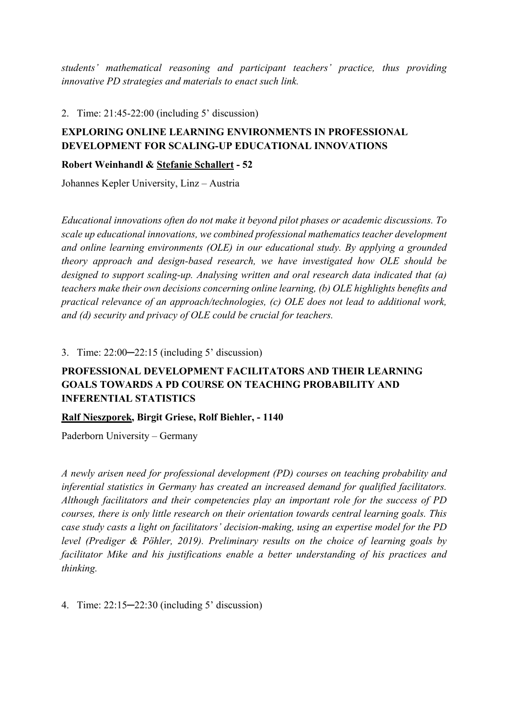*students' mathematical reasoning and participant teachers' practice, thus providing innovative PD strategies and materials to enact such link.*

2. Time: 21:45-22:00 (including 5' discussion)

# **EXPLORING ONLINE LEARNING ENVIRONMENTS IN PROFESSIONAL DEVELOPMENT FOR SCALING-UP EDUCATIONAL INNOVATIONS**

**Robert Weinhandl & Stefanie Schallert - 52**

Johannes Kepler University, Linz – Austria

*Educational innovations often do not make it beyond pilot phases or academic discussions. To scale up educational innovations, we combined professional mathematics teacher development and online learning environments (OLE) in our educational study. By applying a grounded theory approach and design-based research, we have investigated how OLE should be designed to support scaling-up. Analysing written and oral research data indicated that (a) teachers make their own decisions concerning online learning, (b) OLE highlights benefits and practical relevance of an approach/technologies, (c) OLE does not lead to additional work, and (d) security and privacy of OLE could be crucial for teachers.*

3. Time: 22:00─22:15 (including 5' discussion)

# **PROFESSIONAL DEVELOPMENT FACILITATORS AND THEIR LEARNING GOALS TOWARDS A PD COURSE ON TEACHING PROBABILITY AND INFERENTIAL STATISTICS**

### **Ralf Nieszporek, Birgit Griese, Rolf Biehler, - 1140**

Paderborn University – Germany

*A newly arisen need for professional development (PD) courses on teaching probability and inferential statistics in Germany has created an increased demand for qualified facilitators. Although facilitators and their competencies play an important role for the success of PD courses, there is only little research on their orientation towards central learning goals. This case study casts a light on facilitators' decision-making, using an expertise model for the PD level (Prediger & Pöhler, 2019). Preliminary results on the choice of learning goals by facilitator Mike and his justifications enable a better understanding of his practices and thinking.*

4. Time: 22:15─22:30 (including 5' discussion)